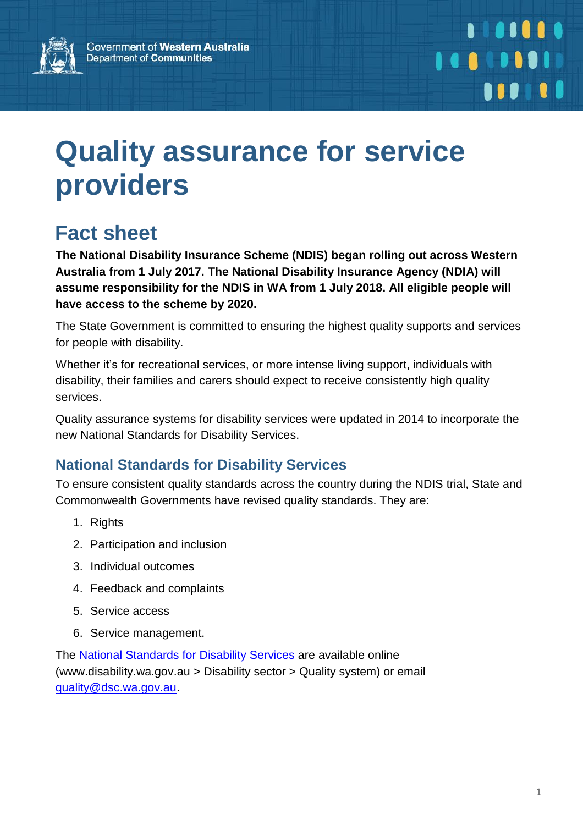

## **. . . . . .** . 10010101 **110 10**

# **Quality assurance for service providers**

### **Fact sheet**

**The National Disability Insurance Scheme (NDIS) began rolling out across Western Australia from 1 July 2017. The National Disability Insurance Agency (NDIA) will assume responsibility for the NDIS in WA from 1 July 2018. All eligible people will have access to the scheme by 2020.**

The State Government is committed to ensuring the highest quality supports and services for people with disability.

Whether it's for recreational services, or more intense living support, individuals with disability, their families and carers should expect to receive consistently high quality services.

Quality assurance systems for disability services were updated in 2014 to incorporate the new National Standards for Disability Services.

### **National Standards for Disability Services**

To ensure consistent quality standards across the country during the NDIS trial, State and Commonwealth Governments have revised quality standards. They are:

- 1. Rights
- 2. Participation and inclusion
- 3. Individual outcomes
- 4. Feedback and complaints
- 5. Service access
- 6. Service management.

The National [Standards](http://www.disability.wa.gov.au/disability-service-providers-/for-disability-service-providers/quality-system/) for Disability Services are available online (www.disability.wa.gov.au > Disability sector > Quality system) or email [quality@dsc.wa.gov.au.](mailto:quality@dsc.wa.gov.au)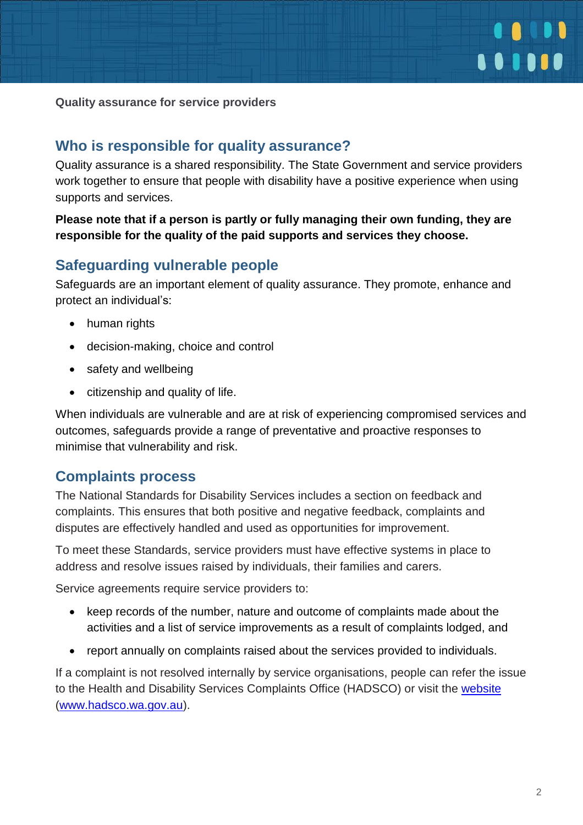

**Quality assurance for service providers**

#### **Who is responsible for quality assurance?**

Quality assurance is a shared responsibility. The State Government and service providers work together to ensure that people with disability have a positive experience when using supports and services.

#### **Please note that if a person is partly or fully managing their own funding, they are responsible for the quality of the paid supports and services they choose.**

#### **Safeguarding vulnerable people**

Safeguards are an important element of quality assurance. They promote, enhance and protect an individual's:

- human rights
- decision-making, choice and control
- safety and wellbeing
- citizenship and quality of life.

When individuals are vulnerable and are at risk of experiencing compromised services and outcomes, safeguards provide a range of preventative and proactive responses to minimise that vulnerability and risk.

#### **Complaints process**

The National Standards for Disability Services includes a section on feedback and complaints. This ensures that both positive and negative feedback, complaints and disputes are effectively handled and used as opportunities for improvement.

To meet these Standards, service providers must have effective systems in place to address and resolve issues raised by individuals, their families and carers.

Service agreements require service providers to:

- keep records of the number, nature and outcome of complaints made about the activities and a list of service improvements as a result of complaints lodged, and
- report annually on complaints raised about the services provided to individuals.

If a complaint is not resolved internally by service organisations, people can refer the issue to the Health and Disability Services Complaints Office (HADSCO) or visit the [website](http://www.hadsco.wa.gov.au/) [\(www.hadsco.wa.gov.au\)](http://www.hadsco.wa.gov.au/).